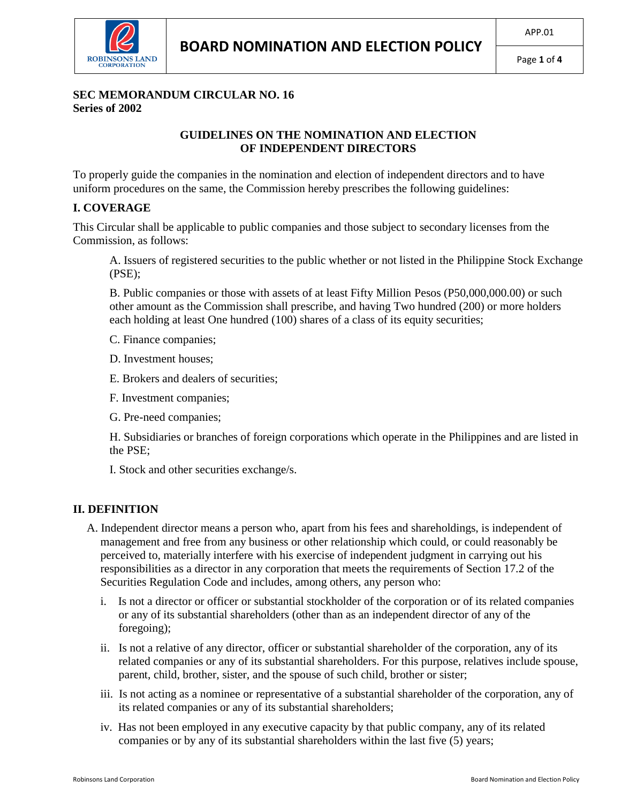

#### **SEC MEMORANDUM CIRCULAR NO. 16 Series of 2002**

#### **GUIDELINES ON THE NOMINATION AND ELECTION OF INDEPENDENT DIRECTORS**

To properly guide the companies in the nomination and election of independent directors and to have uniform procedures on the same, the Commission hereby prescribes the following guidelines:

### **I. COVERAGE**

This Circular shall be applicable to public companies and those subject to secondary licenses from the Commission, as follows:

A. Issuers of registered securities to the public whether or not listed in the Philippine Stock Exchange (PSE);

B. Public companies or those with assets of at least Fifty Million Pesos (P50,000,000.00) or such other amount as the Commission shall prescribe, and having Two hundred (200) or more holders each holding at least One hundred (100) shares of a class of its equity securities;

C. Finance companies;

D. Investment houses;

- E. Brokers and dealers of securities;
- F. Investment companies;
- G. Pre-need companies;

H. Subsidiaries or branches of foreign corporations which operate in the Philippines and are listed in the PSE;

I. Stock and other securities exchange/s.

### **II. DEFINITION**

- A. Independent director means a person who, apart from his fees and shareholdings, is independent of management and free from any business or other relationship which could, or could reasonably be perceived to, materially interfere with his exercise of independent judgment in carrying out his responsibilities as a director in any corporation that meets the requirements of Section 17.2 of the Securities Regulation Code and includes, among others, any person who:
	- i. Is not a director or officer or substantial stockholder of the corporation or of its related companies or any of its substantial shareholders (other than as an independent director of any of the foregoing);
	- ii. Is not a relative of any director, officer or substantial shareholder of the corporation, any of its related companies or any of its substantial shareholders. For this purpose, relatives include spouse, parent, child, brother, sister, and the spouse of such child, brother or sister;
	- iii. Is not acting as a nominee or representative of a substantial shareholder of the corporation, any of its related companies or any of its substantial shareholders;
	- iv. Has not been employed in any executive capacity by that public company, any of its related companies or by any of its substantial shareholders within the last five (5) years;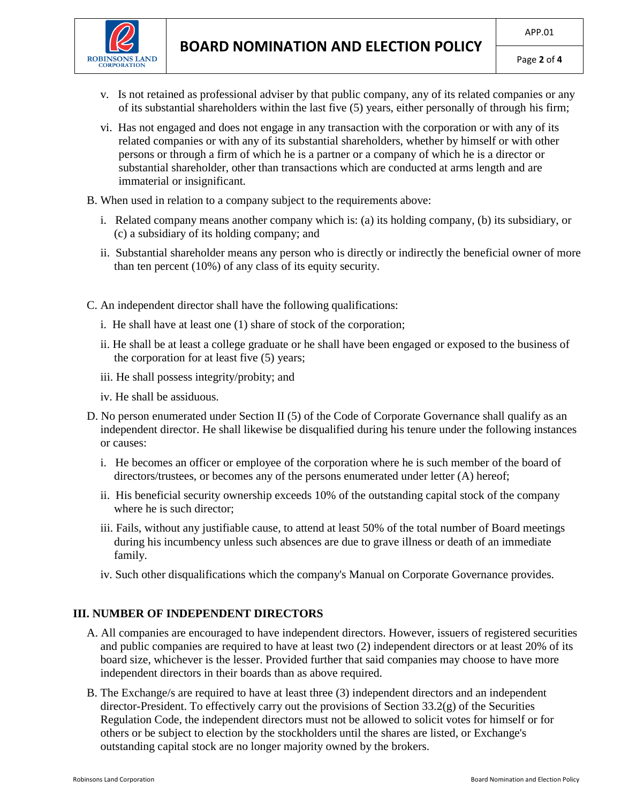



- v. Is not retained as professional adviser by that public company, any of its related companies or any of its substantial shareholders within the last five (5) years, either personally of through his firm;
- vi. Has not engaged and does not engage in any transaction with the corporation or with any of its related companies or with any of its substantial shareholders, whether by himself or with other persons or through a firm of which he is a partner or a company of which he is a director or substantial shareholder, other than transactions which are conducted at arms length and are immaterial or insignificant.
- B. When used in relation to a company subject to the requirements above:
	- i. Related company means another company which is: (a) its holding company, (b) its subsidiary, or (c) a subsidiary of its holding company; and
	- ii. Substantial shareholder means any person who is directly or indirectly the beneficial owner of more than ten percent (10%) of any class of its equity security.
- C. An independent director shall have the following qualifications:
	- i. He shall have at least one (1) share of stock of the corporation;
	- ii. He shall be at least a college graduate or he shall have been engaged or exposed to the business of the corporation for at least five (5) years;
	- iii. He shall possess integrity/probity; and
	- iv. He shall be assiduous.
- D. No person enumerated under Section II (5) of the Code of Corporate Governance shall qualify as an independent director. He shall likewise be disqualified during his tenure under the following instances or causes:
	- i. He becomes an officer or employee of the corporation where he is such member of the board of directors/trustees, or becomes any of the persons enumerated under letter (A) hereof;
	- ii. His beneficial security ownership exceeds 10% of the outstanding capital stock of the company where he is such director;
	- iii. Fails, without any justifiable cause, to attend at least 50% of the total number of Board meetings during his incumbency unless such absences are due to grave illness or death of an immediate family.
	- iv. Such other disqualifications which the company's Manual on Corporate Governance provides.

## **III. NUMBER OF INDEPENDENT DIRECTORS**

- A. All companies are encouraged to have independent directors. However, issuers of registered securities and public companies are required to have at least two (2) independent directors or at least 20% of its board size, whichever is the lesser. Provided further that said companies may choose to have more independent directors in their boards than as above required.
- B. The Exchange/s are required to have at least three (3) independent directors and an independent director-President. To effectively carry out the provisions of Section 33.2(g) of the Securities Regulation Code, the independent directors must not be allowed to solicit votes for himself or for others or be subject to election by the stockholders until the shares are listed, or Exchange's outstanding capital stock are no longer majority owned by the brokers.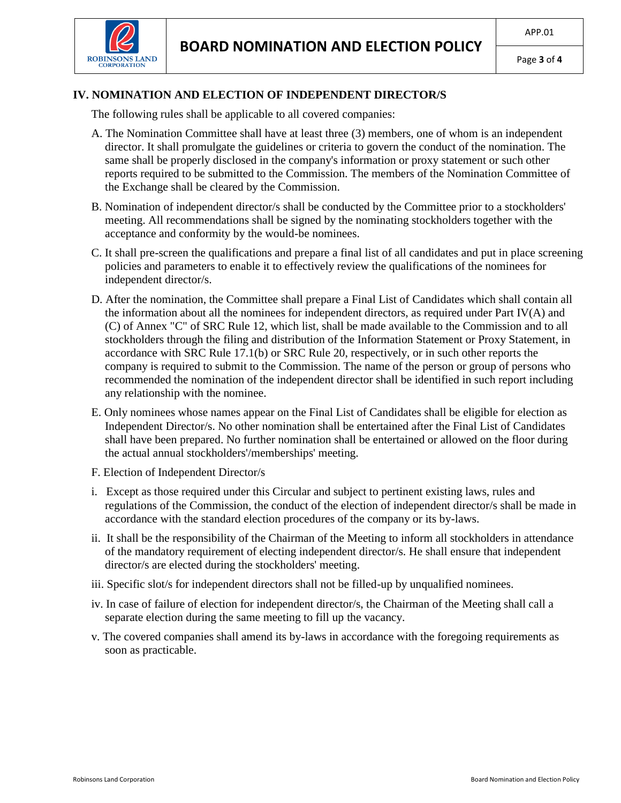

Page **3** of **4**

# **IV. NOMINATION AND ELECTION OF INDEPENDENT DIRECTOR/S**

The following rules shall be applicable to all covered companies:

- A. The Nomination Committee shall have at least three (3) members, one of whom is an independent director. It shall promulgate the guidelines or criteria to govern the conduct of the nomination. The same shall be properly disclosed in the company's information or proxy statement or such other reports required to be submitted to the Commission. The members of the Nomination Committee of the Exchange shall be cleared by the Commission.
- B. Nomination of independent director/s shall be conducted by the Committee prior to a stockholders' meeting. All recommendations shall be signed by the nominating stockholders together with the acceptance and conformity by the would-be nominees.
- C. It shall pre-screen the qualifications and prepare a final list of all candidates and put in place screening policies and parameters to enable it to effectively review the qualifications of the nominees for independent director/s.
- D. After the nomination, the Committee shall prepare a Final List of Candidates which shall contain all the information about all the nominees for independent directors, as required under Part IV(A) and (C) of Annex "C" of SRC Rule 12, which list, shall be made available to the Commission and to all stockholders through the filing and distribution of the Information Statement or Proxy Statement, in accordance with SRC Rule 17.1(b) or SRC Rule 20, respectively, or in such other reports the company is required to submit to the Commission. The name of the person or group of persons who recommended the nomination of the independent director shall be identified in such report including any relationship with the nominee.
- E. Only nominees whose names appear on the Final List of Candidates shall be eligible for election as Independent Director/s. No other nomination shall be entertained after the Final List of Candidates shall have been prepared. No further nomination shall be entertained or allowed on the floor during the actual annual stockholders'/memberships' meeting.
- F. Election of Independent Director/s
- i. Except as those required under this Circular and subject to pertinent existing laws, rules and regulations of the Commission, the conduct of the election of independent director/s shall be made in accordance with the standard election procedures of the company or its by-laws.
- ii. It shall be the responsibility of the Chairman of the Meeting to inform all stockholders in attendance of the mandatory requirement of electing independent director/s. He shall ensure that independent director/s are elected during the stockholders' meeting.
- iii. Specific slot/s for independent directors shall not be filled-up by unqualified nominees.
- iv. In case of failure of election for independent director/s, the Chairman of the Meeting shall call a separate election during the same meeting to fill up the vacancy.
- v. The covered companies shall amend its by-laws in accordance with the foregoing requirements as soon as practicable.